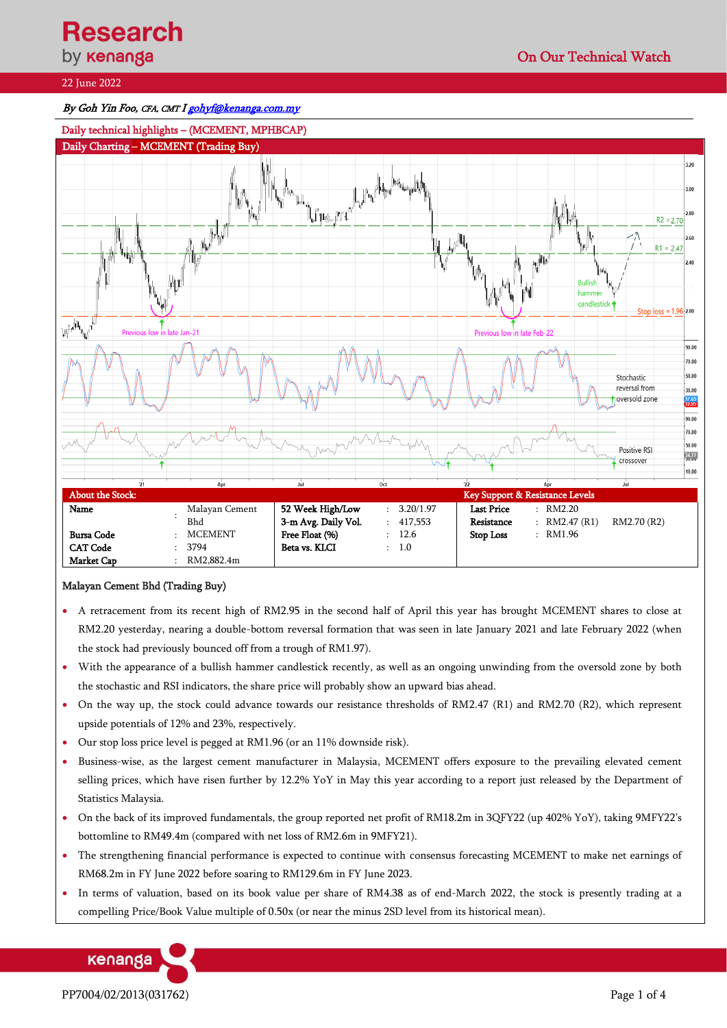# 22 June 2022

## By Goh Yin Foo, CFA, CMT I gohyf@kenanga.com.my



## Malayan Cement Bhd (Trading Buy)

- A retracement from its recent high of RM2.95 in the second half of April this year has brought MCEMENT shares to close at RM2.20 yesterday, nearing a double-bottom reversal formation that was seen in late January 2021 and late February 2022 (when the stock had previously bounced off from a trough of RM1.97).
- With the appearance of a bullish hammer candlestick recently, as well as an ongoing unwinding from the oversold zone by both the stochastic and RSI indicators, the share price will probably show an upward bias ahead.
- On the way up, the stock could advance towards our resistance thresholds of RM2.47 (R1) and RM2.70 (R2), which represent upside potentials of 12% and 23%, respectively.
- Our stop loss price level is pegged at RM1.96 (or an 11% downside risk).
- Business-wise, as the largest cement manufacturer in Malaysia, MCEMENT offers exposure to the prevailing elevated cement selling prices, which have risen further by 12.2% YoY in May this year according to a report just released by the Department of Statistics Malaysia.
- On the back of its improved fundamentals, the group reported net profit of RM18.2m in 3QFY22 (up 402% YoY), taking 9MFY22's bottomline to RM49.4m (compared with net loss of RM2.6m in 9MFY21).
- The strengthening financial performance is expected to continue with consensus forecasting MCEMENT to make net earnings of RM68.2m in FY June 2022 before soaring to RM129.6m in FY June 2023.
- In terms of valuation, based on its book value per share of RM4.38 as of end-March 2022, the stock is presently trading at a compelling Price/Book Value multiple of 0.50x (or near the minus 2SD level from its historical mean).

kenanga

PP7004/02/2013(031762) Page 1 of 4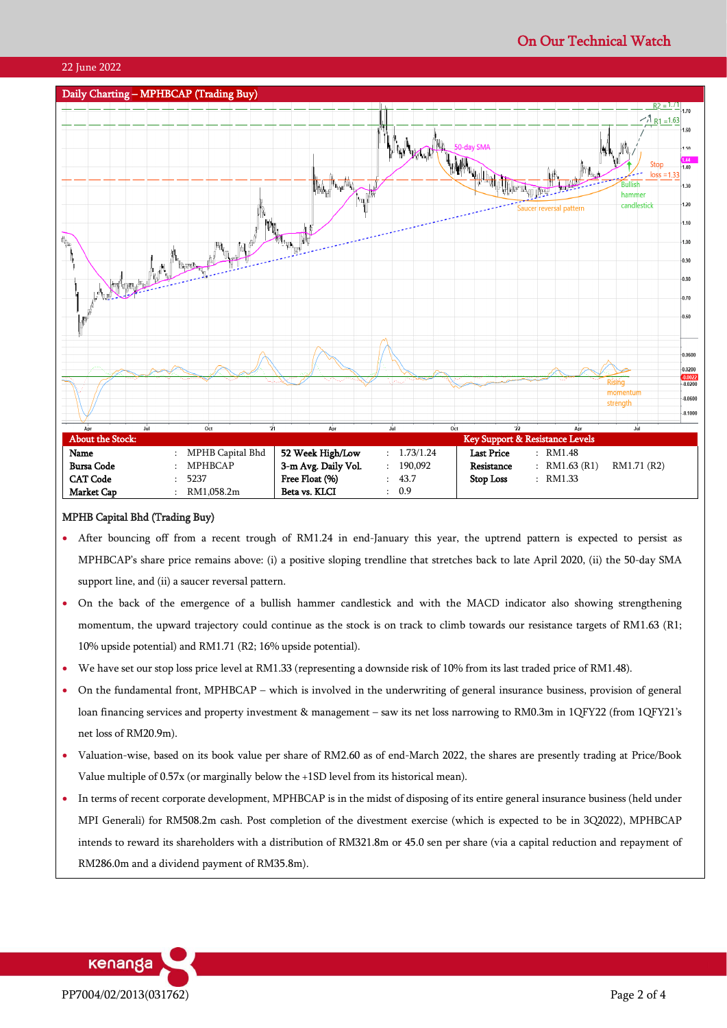

#### MPHB Capital Bhd (Trading Buy)

- After bouncing off from a recent trough of RM1.24 in end-January this year, the uptrend pattern is expected to persist as MPHBCAP's share price remains above: (i) a positive sloping trendline that stretches back to late April 2020, (ii) the 50-day SMA support line, and (ii) a saucer reversal pattern.
- On the back of the emergence of a bullish hammer candlestick and with the MACD indicator also showing strengthening momentum, the upward trajectory could continue as the stock is on track to climb towards our resistance targets of RM1.63 (R1; 10% upside potential) and RM1.71 (R2; 16% upside potential).
- We have set our stop loss price level at RM1.33 (representing a downside risk of 10% from its last traded price of RM1.48).
- On the fundamental front, MPHBCAP which is involved in the underwriting of general insurance business, provision of general loan financing services and property investment & management – saw its net loss narrowing to RM0.3m in 1QFY22 (from 1QFY21's net loss of RM20.9m).
- Valuation-wise, based on its book value per share of RM2.60 as of end-March 2022, the shares are presently trading at Price/Book Value multiple of 0.57x (or marginally below the +1SD level from its historical mean).
- In terms of recent corporate development, MPHBCAP is in the midst of disposing of its entire general insurance business (held under MPI Generali) for RM508.2m cash. Post completion of the divestment exercise (which is expected to be in 3Q2022), MPHBCAP intends to reward its shareholders with a distribution of RM321.8m or 45.0 sen per share (via a capital reduction and repayment of RM286.0m and a dividend payment of RM35.8m).

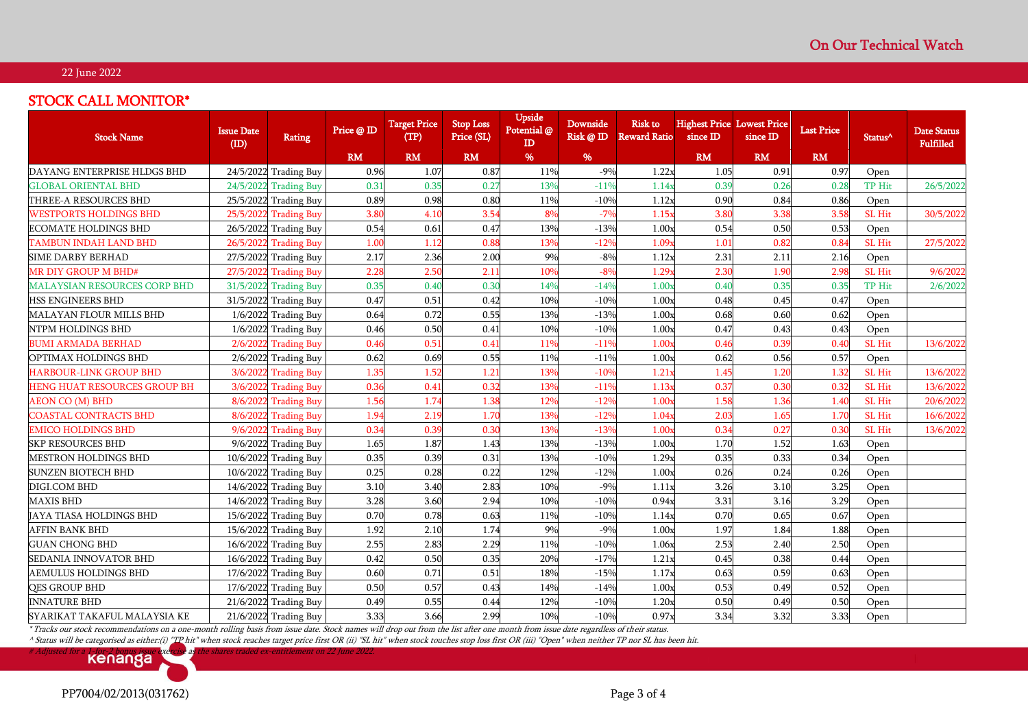## 22 June 2022

# STOCK CALL MONITOR\*

| <b>Stock Name</b>                   | <b>Issue Date</b><br>(ID) | <b>Rating</b>          | Price @ ID       | <b>Target Price</b><br>(TP) | <b>Stop Loss</b><br>Price (SL) | Upside<br>Potential @<br>ID | Downside<br>Risk @ ID | <b>Risk to</b><br><b>Reward Ratio</b> | <b>Highest Price Lowest Price</b><br>since ID | since ID      | <b>Last Price</b> | Status <sup>^</sup> | Date Status<br><b>Fulfilled</b> |
|-------------------------------------|---------------------------|------------------------|------------------|-----------------------------|--------------------------------|-----------------------------|-----------------------|---------------------------------------|-----------------------------------------------|---------------|-------------------|---------------------|---------------------------------|
|                                     |                           |                        | RM               | <b>RM</b>                   | <b>RM</b>                      | %                           | %                     |                                       | <b>RM</b>                                     | RM            | RM                |                     |                                 |
| DAYANG ENTERPRISE HLDGS BHD         |                           | 24/5/2022 Trading Buy  | 0.96             | 1.07                        | 0.87                           | 11%                         | $-9%$                 | 1.22x                                 | 1.05                                          | 0.91          | 0.97              | Open                |                                 |
| <b>GLOBAL ORIENTAL BHD</b>          |                           | 24/5/2022 Trading Buy  | 0.31             | 0.35                        | 0.27                           | 13%                         | $-119$                | 1.14x                                 | 0.39                                          | 0.26          | 0.28              | TP Hit              | 26/5/202                        |
| THREE-A RESOURCES BHD               |                           | 25/5/2022 Trading Buy  | 0.89             | 0.98                        | 0.80                           | 11%                         | $-10%$                | 1.12x                                 | 0.90                                          | 0.84          | 0.86              | Open                |                                 |
| <b>WESTPORTS HOLDINGS BHD</b>       | 25/5/2022                 | <b>Trading Buy</b>     | 3.8 <sub>0</sub> | 4.10                        | 3.54                           | 8%                          | $-7%$                 | 1.15x                                 | 3.80                                          | 3.38          | 3.58              | SL Hit              | 30/5/2022                       |
| ECOMATE HOLDINGS BHD                |                           | 26/5/2022 Trading Buy  | 0.54             | 0.61                        | 0.47                           | 13%                         | $-13%$                | 1.00x                                 | 0.54                                          | 0.50          | 0.53              | Open                |                                 |
| TAMBUN INDAH LAND BHD               | 26/5/2022                 | <b>Trading Buy</b>     | 1.00             | 1.12                        | 0.88                           | 13%                         | $-12%$                | 1.09 <sub>x</sub>                     | 1.01                                          | 0.82          | 0.84              | SL Hit              | 27/5/2022                       |
| <b>SIME DARBY BERHAD</b>            |                           | 27/5/2022 Trading Buy  | 2.17             | 2.36                        | 2.00                           | 9%                          | $-8%$                 | 1.12x                                 | 2.31                                          | 2.11          | 2.16              | Open                |                                 |
| <b>MR DIY GROUP M BHD#</b>          | 27/5/2022                 | <b>Trading Buy</b>     | 2.28             | 2.50                        | 2.11                           | 10%                         | $-8%$                 | 1.29 <sub>x</sub>                     | 2.3 <sub>C</sub>                              | 1.90          | 2.98              | SL Hit              | 9/6/2022                        |
| <b>MALAYSIAN RESOURCES CORP BHD</b> |                           | 31/5/2022 Trading Buy  | 0.35             | 0.40                        | 0.30                           | 14%                         | $-149$                | 1.00 <sub>2</sub>                     | 0.40                                          | 0.35          | 0.35              | TP Hit              | 2/6/2022                        |
| HSS ENGINEERS BHD                   |                           | 31/5/2022 Trading Buy  | 0.47             | 0.51                        | 0.42                           | 10%                         | $-10%$                | 1.00x                                 | 0.48                                          | 0.45          | 0.47              | Open                |                                 |
| MALAYAN FLOUR MILLS BHD             |                           | 1/6/2022 Trading Buy   | 0.64             | 0.72                        | 0.55                           | 13%                         | $-13%$                | 1.00x                                 | 0.68                                          | 0.60          | 0.62              | Open                |                                 |
| NTPM HOLDINGS BHD                   |                           | $1/6/2022$ Trading Buy | 0.46             | 0.50                        | 0.41                           | 10%                         | $-10%$                | 1.00x                                 | 0.47                                          | 0.43          | 0.43              | Open                |                                 |
| <b>BUMI ARMADA BERHAD</b>           |                           | 2/6/2022 Trading Buy   | 0.46             | 0.51                        | 0.41                           | 11%                         | $-119$                | 1.00x                                 | 0.46                                          | 0.39          | 0.40              | SL Hit              | 13/6/202                        |
| OPTIMAX HOLDINGS BHD                | 2/6/2022                  | <b>Trading Buy</b>     | 0.62             | 0.69                        | 0.55                           | 11%                         | $-11%$                | 1.00x                                 | 0.62                                          | 0.56          | 0.57              | Open                |                                 |
| <b>HARBOUR-LINK GROUP BHD</b>       | 3/6/2022                  | <b>Trading Buy</b>     | 1.35             | 1.52                        | 1.21                           | 13%                         | $-109$                | 1.21x                                 | 1.45                                          | 1.20          | 1.32              | SL Hit              | 13/6/202                        |
| HENG HUAT RESOURCES GROUP BH        |                           | 3/6/2022 Trading Buy   | 0.36             | 0.41                        | 0.32                           | 13%                         | $-119$                | 1.13x                                 | 0.37                                          | 0.30          | 0.32              | SL Hit              | 13/6/2022                       |
| <b>AEON CO (M) BHD</b>              | 8/6/2022                  | <b>Trading Buy</b>     | 1.56             | 1.74                        | 1.38                           | 12%                         | $-129$                | 1.00 <sub>x</sub>                     | 1.58                                          | 1.36          | 1.40              | SL Hit              | 20/6/2022                       |
| <b>COASTAL CONTRACTS BHD</b>        | 8/6/2022                  | Trading Buy            | 1.94             | 2.19                        | 1.70                           | 13%                         | $-129$                | 1.04x                                 | 2.03                                          | 1.65          | 1.70              | SL Hit              | 16/6/2022                       |
| <b>EMICO HOLDINGS BHD</b>           | 9/6/2022                  | <b>Trading Buy</b>     | 0.34             | 0.39                        | 0.30                           | 13%                         | $-139$                | 1.00 <sub>2</sub>                     | 0.34                                          | $0.2^{\circ}$ | 0.30              | SL Hit              | 13/6/2022                       |
| <b>SKP RESOURCES BHD</b>            |                           | 9/6/2022 Trading Buy   | 1.65             | 1.87                        | 1.43                           | 13%                         | $-13%$                | 1.00x                                 | 1.70                                          | 1.52          | 1.63              | Open                |                                 |
| <b>MESTRON HOLDINGS BHD</b>         |                           | 10/6/2022 Trading Buy  | 0.35             | 0.39                        | 0.31                           | 13%                         | $-10%$                | 1.29x                                 | 0.35                                          | 0.33          | 0.34              | Open                |                                 |
| <b>SUNZEN BIOTECH BHD</b>           |                           | 10/6/2022 Trading Buy  | 0.25             | 0.28                        | 0.22                           | 12%                         | $-12%$                | 1.00x                                 | 0.26                                          | 0.24          | 0.26              | Open                |                                 |
| DIGI.COM BHD                        |                           | 14/6/2022 Trading Buy  | 3.10             | 3.40                        | 2.83                           | 10%                         | $-9%$                 | 1.11x                                 | 3.26                                          | 3.10          | 3.25              | Open                |                                 |
| <b>MAXIS BHD</b>                    |                           | 14/6/2022 Trading Buy  | 3.28             | 3.60                        | 2.94                           | 10%                         | $-10%$                | 0.94x                                 | 3.31                                          | 3.16          | 3.29              | Open                |                                 |
| JAYA TIASA HOLDINGS BHD             |                           | 15/6/2022 Trading Buy  | 0.70             | 0.78                        | 0.63                           | 11%                         | $-10%$                | 1.14x                                 | 0.70                                          | 0.65          | 0.67              | Open                |                                 |
| <b>AFFIN BANK BHD</b>               |                           | 15/6/2022 Trading Buy  | 1.92             | 2.10                        | 1.74                           | 9%                          | $-9%$                 | 1.00x                                 | 1.97                                          | 1.84          | 1.88              | Open                |                                 |
| <b>GUAN CHONG BHD</b>               |                           | 16/6/2022 Trading Buy  | 2.55             | 2.83                        | 2.29                           | 11%                         | $-10%$                | 1.06x                                 | 2.53                                          | 2.40          | 2.50              | Open                |                                 |
| SEDANIA INNOVATOR BHD               |                           | 16/6/2022 Trading Buy  | 0.42             | 0.50                        | 0.35                           | 20%                         | $-17%$                | 1.21x                                 | 0.45                                          | 0.38          | 0.44              | Open                |                                 |
| <b>AEMULUS HOLDINGS BHD</b>         |                           | 17/6/2022 Trading Buy  | 0.60             | 0.71                        | 0.51                           | 18%                         | $-15%$                | 1.17x                                 | 0.63                                          | 0.59          | 0.63              | Open                |                                 |
| <b>QES GROUP BHD</b>                |                           | 17/6/2022 Trading Buy  | 0.50             | 0.57                        | 0.43                           | 14%                         | $-14%$                | 1.00x                                 | 0.53                                          | 0.49          | 0.52              | Open                |                                 |
| <b>INNATURE BHD</b>                 |                           | 21/6/2022 Trading Buy  | 0.49             | 0.55                        | 0.44                           | 12%                         | $-10%$                | 1.20x                                 | 0.50                                          | 0.49          | 0.50              | Open                |                                 |
| SYARIKAT TAKAFUL MALAYSIA KE        |                           | 21/6/2022 Trading Buy  | 3.33             | 3.66                        | 2.99                           | 10%                         | $-10%$                | 0.97x                                 | 3.34                                          | 3.32          | 3.33              | Open                |                                 |

\* Tracks our stock recommendations on a one-month rolling basis from issue date. Stock names will drop out from the list after one month from issue date regardless of their status.

^ Status will be categorised as either:(i) "TP hit" when stock reaches target price first OR (ii) "SL hit" when stock touches stop loss first OR (iii) "Open" when neither TP nor SL has been hit.



PP7004/02/2013(031762) Page 3 of 4